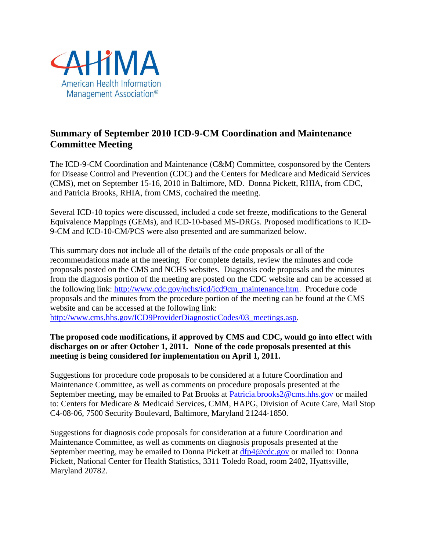

## **Summary of September 2010 ICD-9-CM Coordination and Maintenance Committee Meeting**

The ICD-9-CM Coordination and Maintenance (C&M) Committee, cosponsored by the Centers for Disease Control and Prevention (CDC) and the Centers for Medicare and Medicaid Services (CMS), met on September 15-16, 2010 in Baltimore, MD. Donna Pickett, RHIA, from CDC, and Patricia Brooks, RHIA, from CMS, cochaired the meeting.

Several ICD-10 topics were discussed, included a code set freeze, modifications to the General Equivalence Mappings (GEMs), and ICD-10-based MS-DRGs. Proposed modifications to ICD-9-CM and ICD-10-CM/PCS were also presented and are summarized below.

This summary does not include all of the details of the code proposals or all of the recommendations made at the meeting. For complete details, review the minutes and code proposals posted on the CMS and NCHS websites. Diagnosis code proposals and the minutes from the diagnosis portion of the meeting are posted on the CDC website and can be accessed at the following link: [http://www.cdc.gov/nchs/icd/icd9cm\\_maintenance.htm.](http://www.cdc.gov/nchs/icd/icd9cm_maintenance.htm) Procedure code proposals and the minutes from the procedure portion of the meeting can be found at the CMS website and can be accessed at the following link:

http://www.cms.hhs.gov/ICD9ProviderDiagnosticCodes/03 meetings.asp.

### **The proposed code modifications, if approved by CMS and CDC, would go into effect with discharges on or after October 1, 2011. None of the code proposals presented at this meeting is being considered for implementation on April 1, 2011.**

Suggestions for procedure code proposals to be considered at a future Coordination and Maintenance Committee, as well as comments on procedure proposals presented at the September meeting, may be emailed to Pat Brooks at [Patricia.brooks2@cms.hhs.gov](mailto:Patricia.brooks2@cms.hhs.gov) or mailed to: Centers for Medicare & Medicaid Services, CMM, HAPG, Division of Acute Care, Mail Stop C4-08-06, 7500 Security Boulevard, Baltimore, Maryland 21244-1850.

Suggestions for diagnosis code proposals for consideration at a future Coordination and Maintenance Committee, as well as comments on diagnosis proposals presented at the September meeting, may be emailed to Donna Pickett at [dfp4@cdc.gov](mailto:dfp4@cdc.gov) or mailed to: Donna Pickett, National Center for Health Statistics, 3311 Toledo Road, room 2402, Hyattsville, Maryland 20782.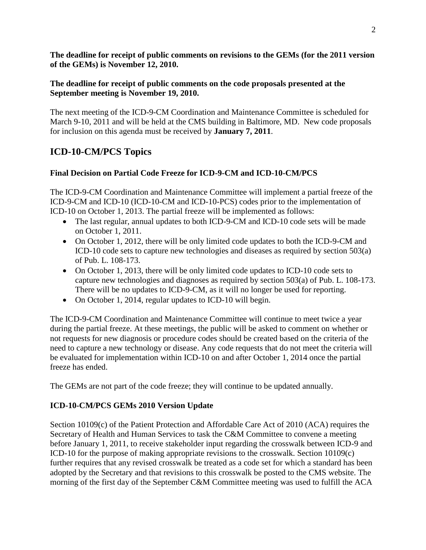**The deadline for receipt of public comments on revisions to the GEMs (for the 2011 version of the GEMs) is November 12, 2010.**

### **The deadline for receipt of public comments on the code proposals presented at the September meeting is November 19, 2010.**

The next meeting of the ICD-9-CM Coordination and Maintenance Committee is scheduled for March 9-10, 2011 and will be held at the CMS building in Baltimore, MD. New code proposals for inclusion on this agenda must be received by **January 7, 2011**.

## **ICD-10-CM/PCS Topics**

### **Final Decision on Partial Code Freeze for ICD-9-CM and ICD-10-CM/PCS**

The ICD-9-CM Coordination and Maintenance Committee will implement a partial freeze of the ICD-9-CM and ICD-10 (ICD-10-CM and ICD-10-PCS) codes prior to the implementation of ICD-10 on October 1, 2013. The partial freeze will be implemented as follows:

- The last regular, annual updates to both ICD-9-CM and ICD-10 code sets will be made on October 1, 2011.
- On October 1, 2012, there will be only limited code updates to both the ICD-9-CM and ICD-10 code sets to capture new technologies and diseases as required by section 503(a) of Pub. L. 108-173.
- On October 1, 2013, there will be only limited code updates to ICD-10 code sets to capture new technologies and diagnoses as required by section 503(a) of Pub. L. 108-173. There will be no updates to ICD-9-CM, as it will no longer be used for reporting.
- On October 1, 2014, regular updates to ICD-10 will begin.

The ICD-9-CM Coordination and Maintenance Committee will continue to meet twice a year during the partial freeze. At these meetings, the public will be asked to comment on whether or not requests for new diagnosis or procedure codes should be created based on the criteria of the need to capture a new technology or disease. Any code requests that do not meet the criteria will be evaluated for implementation within ICD-10 on and after October 1, 2014 once the partial freeze has ended.

The GEMs are not part of the code freeze; they will continue to be updated annually.

### **ICD-10-CM/PCS GEMs 2010 Version Update**

Section 10109(c) of the Patient Protection and Affordable Care Act of 2010 (ACA) requires the Secretary of Health and Human Services to task the C&M Committee to convene a meeting before January 1, 2011, to receive stakeholder input regarding the crosswalk between ICD-9 and ICD-10 for the purpose of making appropriate revisions to the crosswalk. Section 10109(c) further requires that any revised crosswalk be treated as a code set for which a standard has been adopted by the Secretary and that revisions to this crosswalk be posted to the CMS website. The morning of the first day of the September C&M Committee meeting was used to fulfill the ACA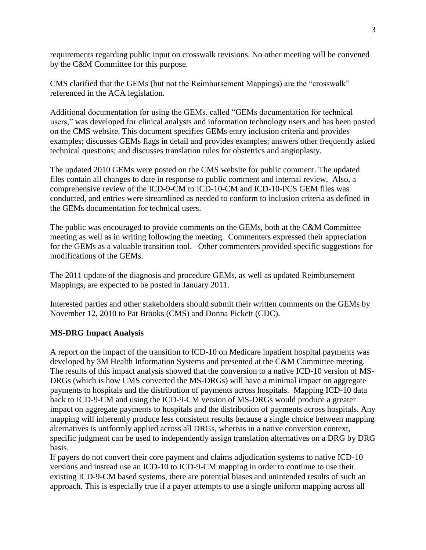requirements regarding public input on crosswalk revisions. No other meeting will be convened by the C&M Committee for this purpose.

CMS clarified that the GEMs (but not the Reimbursement Mappings) are the "crosswalk" referenced in the ACA legislation.

Additional documentation for using the GEMs, called "GEMs documentation for technical users," was developed for clinical analysts and information technology users and has been posted on the CMS website. This document specifies GEMs entry inclusion criteria and provides examples; discusses GEMs flags in detail and provides examples; answers other frequently asked technical questions; and discusses translation rules for obstetrics and angioplasty.

The updated 2010 GEMs were posted on the CMS website for public comment. The updated files contain all changes to date in response to public comment and internal review. Also, a comprehensive review of the ICD-9-CM to ICD-10-CM and ICD-10-PCS GEM files was conducted, and entries were streamlined as needed to conform to inclusion criteria as defined in the GEMs documentation for technical users.

The public was encouraged to provide comments on the GEMs, both at the C&M Committee meeting as well as in writing following the meeting. Commenters expressed their appreciation for the GEMs as a valuable transition tool. Other commenters provided specific suggestions for modifications of the GEMs.

The 2011 update of the diagnosis and procedure GEMs, as well as updated Reimbursement Mappings, are expected to be posted in January 2011.

Interested parties and other stakeholders should submit their written comments on the GEMs by November 12, 2010 to Pat Brooks (CMS) and Donna Pickett (CDC).

### **MS-DRG Impact Analysis**

A report on the impact of the transition to ICD-10 on Medicare inpatient hospital payments was developed by 3M Health Information Systems and presented at the C&M Committee meeting. The results of this impact analysis showed that the conversion to a native ICD-10 version of MS-DRGs (which is how CMS converted the MS-DRGs) will have a minimal impact on aggregate payments to hospitals and the distribution of payments across hospitals. Mapping ICD-10 data back to ICD-9-CM and using the ICD-9-CM version of MS-DRGs would produce a greater impact on aggregate payments to hospitals and the distribution of payments across hospitals. Any mapping will inherently produce less consistent results because a single choice between mapping alternatives is uniformly applied across all DRGs, whereas in a native conversion context, specific judgment can be used to independently assign translation alternatives on a DRG by DRG basis.

If payers do not convert their core payment and claims adjudication systems to native ICD-10 versions and instead use an ICD-10 to ICD-9-CM mapping in order to continue to use their existing ICD-9-CM based systems, there are potential biases and unintended results of such an approach. This is especially true if a payer attempts to use a single uniform mapping across all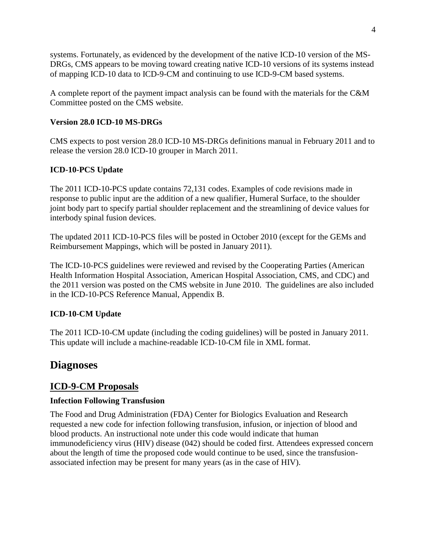systems. Fortunately, as evidenced by the development of the native ICD-10 version of the MS-DRGs, CMS appears to be moving toward creating native ICD-10 versions of its systems instead of mapping ICD-10 data to ICD-9-CM and continuing to use ICD-9-CM based systems.

A complete report of the payment impact analysis can be found with the materials for the C&M Committee posted on the CMS website.

### **Version 28.0 ICD-10 MS-DRGs**

CMS expects to post version 28.0 ICD-10 MS-DRGs definitions manual in February 2011 and to release the version 28.0 ICD-10 grouper in March 2011.

### **ICD-10-PCS Update**

The 2011 ICD-10-PCS update contains 72,131 codes. Examples of code revisions made in response to public input are the addition of a new qualifier, Humeral Surface, to the shoulder joint body part to specify partial shoulder replacement and the streamlining of device values for interbody spinal fusion devices.

The updated 2011 ICD-10-PCS files will be posted in October 2010 (except for the GEMs and Reimbursement Mappings, which will be posted in January 2011).

The ICD-10-PCS guidelines were reviewed and revised by the Cooperating Parties (American Health Information Hospital Association, American Hospital Association, CMS, and CDC) and the 2011 version was posted on the CMS website in June 2010. The guidelines are also included in the ICD-10-PCS Reference Manual, Appendix B.

### **ICD-10-CM Update**

The 2011 ICD-10-CM update (including the coding guidelines) will be posted in January 2011. This update will include a machine-readable ICD-10-CM file in XML format.

# **Diagnoses**

## **ICD-9-CM Proposals**

### **Infection Following Transfusion**

The Food and Drug Administration (FDA) Center for Biologics Evaluation and Research requested a new code for infection following transfusion, infusion, or injection of blood and blood products. An instructional note under this code would indicate that human immunodeficiency virus (HIV) disease (042) should be coded first. Attendees expressed concern about the length of time the proposed code would continue to be used, since the transfusionassociated infection may be present for many years (as in the case of HIV).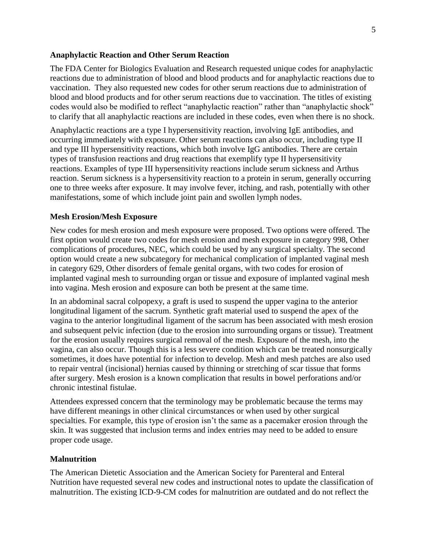#### **Anaphylactic Reaction and Other Serum Reaction**

The FDA Center for Biologics Evaluation and Research requested unique codes for anaphylactic reactions due to administration of blood and blood products and for anaphylactic reactions due to vaccination. They also requested new codes for other serum reactions due to administration of blood and blood products and for other serum reactions due to vaccination. The titles of existing codes would also be modified to reflect "anaphylactic reaction" rather than "anaphylactic shock" to clarify that all anaphylactic reactions are included in these codes, even when there is no shock.

Anaphylactic reactions are a type I hypersensitivity reaction, involving IgE antibodies, and occurring immediately with exposure. Other serum reactions can also occur, including type II and type III hypersensitivity reactions, which both involve IgG antibodies. There are certain types of transfusion reactions and drug reactions that exemplify type II hypersensitivity reactions. Examples of type III hypersensitivity reactions include serum sickness and Arthus reaction. Serum sickness is a hypersensitivity reaction to a protein in serum, generally occurring one to three weeks after exposure. It may involve fever, itching, and rash, potentially with other manifestations, some of which include joint pain and swollen lymph nodes.

#### **Mesh Erosion/Mesh Exposure**

New codes for mesh erosion and mesh exposure were proposed. Two options were offered. The first option would create two codes for mesh erosion and mesh exposure in category 998, Other complications of procedures, NEC, which could be used by any surgical specialty. The second option would create a new subcategory for mechanical complication of implanted vaginal mesh in category 629, Other disorders of female genital organs, with two codes for erosion of implanted vaginal mesh to surrounding organ or tissue and exposure of implanted vaginal mesh into vagina. Mesh erosion and exposure can both be present at the same time.

In an abdominal sacral colpopexy, a graft is used to suspend the upper vagina to the anterior longitudinal ligament of the sacrum. Synthetic graft material used to suspend the apex of the vagina to the anterior longitudinal ligament of the sacrum has been associated with mesh erosion and subsequent pelvic infection (due to the erosion into surrounding organs or tissue). Treatment for the erosion usually requires surgical removal of the mesh. Exposure of the mesh, into the vagina, can also occur. Though this is a less severe condition which can be treated nonsurgically sometimes, it does have potential for infection to develop. Mesh and mesh patches are also used to repair ventral (incisional) hernias caused by thinning or stretching of scar tissue that forms after surgery. Mesh erosion is a known complication that results in bowel perforations and/or chronic intestinal fistulae.

Attendees expressed concern that the terminology may be problematic because the terms may have different meanings in other clinical circumstances or when used by other surgical specialties. For example, this type of erosion isn't the same as a pacemaker erosion through the skin. It was suggested that inclusion terms and index entries may need to be added to ensure proper code usage.

#### **Malnutrition**

The American Dietetic Association and the American Society for Parenteral and Enteral Nutrition have requested several new codes and instructional notes to update the classification of malnutrition. The existing ICD-9-CM codes for malnutrition are outdated and do not reflect the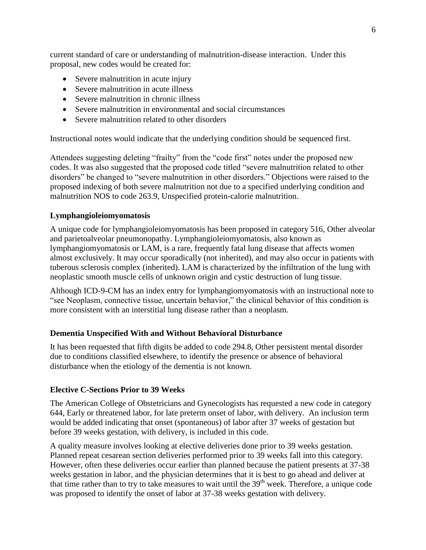current standard of care or understanding of malnutrition-disease interaction. Under this proposal, new codes would be created for:

- Severe malnutrition in acute injury
- Severe malnutrition in acute illness
- Severe malnutrition in chronic illness
- Severe malnutrition in environmental and social circumstances
- Severe malnutrition related to other disorders

Instructional notes would indicate that the underlying condition should be sequenced first.

Attendees suggesting deleting "frailty" from the "code first" notes under the proposed new codes. It was also suggested that the proposed code titled "severe malnutrition related to other disorders" be changed to "severe malnutrition in other disorders." Objections were raised to the proposed indexing of both severe malnutrition not due to a specified underlying condition and malnutrition NOS to code 263.9, Unspecified protein-calorie malnutrition.

### **Lymphangioleiomyomatosis**

A unique code for lymphangioleiomyomatosis has been proposed in category 516, Other alveolar and parietoalveolar pneumonopathy. Lymphangioleiomyomatosis, also known as lymphangiomyomatosis or LAM, is a rare, frequently fatal lung disease that affects women almost exclusively. It may occur sporadically (not inherited), and may also occur in patients with tuberous sclerosis complex (inherited). LAM is characterized by the infiltration of the lung with neoplastic smooth muscle cells of unknown origin and cystic destruction of lung tissue.

Although ICD-9-CM has an index entry for lymphangiomyomatosis with an instructional note to "see Neoplasm, connective tissue, uncertain behavior," the clinical behavior of this condition is more consistent with an interstitial lung disease rather than a neoplasm.

### **Dementia Unspecified With and Without Behavioral Disturbance**

It has been requested that fifth digits be added to code 294.8, Other persistent mental disorder due to conditions classified elsewhere, to identify the presence or absence of behavioral disturbance when the etiology of the dementia is not known.

### **Elective C-Sections Prior to 39 Weeks**

The American College of Obstetricians and Gynecologists has requested a new code in category 644, Early or threatened labor, for late preterm onset of labor, with delivery. An inclusion term would be added indicating that onset (spontaneous) of labor after 37 weeks of gestation but before 39 weeks gestation, with delivery, is included in this code.

A quality measure involves looking at elective deliveries done prior to 39 weeks gestation. Planned repeat cesarean section deliveries performed prior to 39 weeks fall into this category. However, often these deliveries occur earlier than planned because the patient presents at 37-38 weeks gestation in labor, and the physician determines that it is best to go ahead and deliver at that time rather than to try to take measures to wait until the  $39<sup>th</sup>$  week. Therefore, a unique code was proposed to identify the onset of labor at 37-38 weeks gestation with delivery.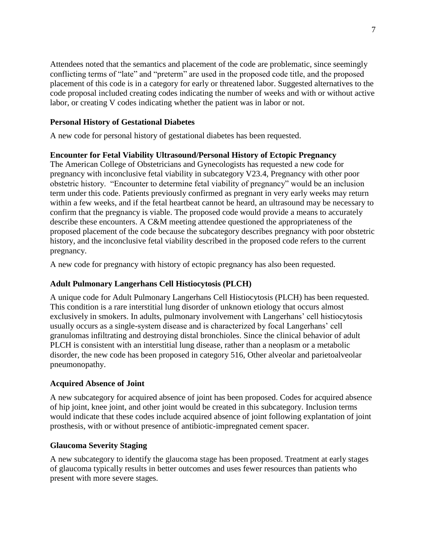Attendees noted that the semantics and placement of the code are problematic, since seemingly conflicting terms of "late" and "preterm" are used in the proposed code title, and the proposed placement of this code is in a category for early or threatened labor. Suggested alternatives to the code proposal included creating codes indicating the number of weeks and with or without active labor, or creating V codes indicating whether the patient was in labor or not.

#### **Personal History of Gestational Diabetes**

A new code for personal history of gestational diabetes has been requested.

#### **Encounter for Fetal Viability Ultrasound/Personal History of Ectopic Pregnancy**

The American College of Obstetricians and Gynecologists has requested a new code for pregnancy with inconclusive fetal viability in subcategory V23.4, Pregnancy with other poor obstetric history. "Encounter to determine fetal viability of pregnancy" would be an inclusion term under this code. Patients previously confirmed as pregnant in very early weeks may return within a few weeks, and if the fetal heartbeat cannot be heard, an ultrasound may be necessary to confirm that the pregnancy is viable. The proposed code would provide a means to accurately describe these encounters. A C&M meeting attendee questioned the appropriateness of the proposed placement of the code because the subcategory describes pregnancy with poor obstetric history, and the inconclusive fetal viability described in the proposed code refers to the current pregnancy.

A new code for pregnancy with history of ectopic pregnancy has also been requested.

#### **Adult Pulmonary Langerhans Cell Histiocytosis (PLCH)**

A unique code for Adult Pulmonary Langerhans Cell Histiocytosis (PLCH) has been requested. This condition is a rare interstitial lung disorder of unknown etiology that occurs almost exclusively in smokers. In adults, pulmonary involvement with Langerhans' cell histiocytosis usually occurs as a single-system disease and is characterized by focal Langerhans' cell granulomas infiltrating and destroying distal bronchioles. Since the clinical behavior of adult PLCH is consistent with an interstitial lung disease, rather than a neoplasm or a metabolic disorder, the new code has been proposed in category 516, Other alveolar and parietoalveolar pneumonopathy.

#### **Acquired Absence of Joint**

A new subcategory for acquired absence of joint has been proposed. Codes for acquired absence of hip joint, knee joint, and other joint would be created in this subcategory. Inclusion terms would indicate that these codes include acquired absence of joint following explantation of joint prosthesis, with or without presence of antibiotic-impregnated cement spacer.

#### **Glaucoma Severity Staging**

A new subcategory to identify the glaucoma stage has been proposed. Treatment at early stages of glaucoma typically results in better outcomes and uses fewer resources than patients who present with more severe stages.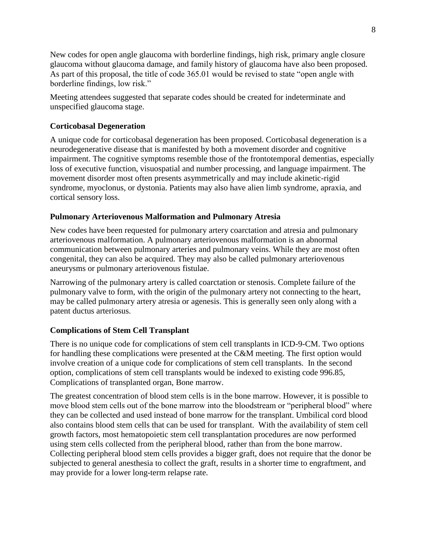New codes for open angle glaucoma with borderline findings, high risk, primary angle closure glaucoma without glaucoma damage, and family history of glaucoma have also been proposed. As part of this proposal, the title of code 365.01 would be revised to state "open angle with borderline findings, low risk."

Meeting attendees suggested that separate codes should be created for indeterminate and unspecified glaucoma stage.

### **Corticobasal Degeneration**

A unique code for corticobasal degeneration has been proposed. Corticobasal degeneration is a neurodegenerative disease that is manifested by both a movement disorder and cognitive impairment. The cognitive symptoms resemble those of the frontotemporal dementias, especially loss of executive function, visuospatial and number processing, and language impairment. The movement disorder most often presents asymmetrically and may include akinetic-rigid syndrome, myoclonus, or dystonia. Patients may also have alien limb syndrome, apraxia, and cortical sensory loss.

### **Pulmonary Arteriovenous Malformation and Pulmonary Atresia**

New codes have been requested for pulmonary artery coarctation and atresia and pulmonary arteriovenous malformation. A pulmonary arteriovenous malformation is an abnormal communication between pulmonary arteries and pulmonary veins. While they are most often congenital, they can also be acquired. They may also be called pulmonary arteriovenous aneurysms or pulmonary arteriovenous fistulae.

Narrowing of the pulmonary artery is called coarctation or stenosis. Complete failure of the pulmonary valve to form, with the origin of the pulmonary artery not connecting to the heart, may be called pulmonary artery atresia or agenesis. This is generally seen only along with a patent ductus arteriosus.

### **Complications of Stem Cell Transplant**

There is no unique code for complications of stem cell transplants in ICD-9-CM. Two options for handling these complications were presented at the C&M meeting. The first option would involve creation of a unique code for complications of stem cell transplants. In the second option, complications of stem cell transplants would be indexed to existing code 996.85, Complications of transplanted organ, Bone marrow.

The greatest concentration of blood stem cells is in the bone marrow. However, it is possible to move blood stem cells out of the bone marrow into the bloodstream or "peripheral blood" where they can be collected and used instead of bone marrow for the transplant. Umbilical cord blood also contains blood stem cells that can be used for transplant. With the availability of stem cell growth factors, most hematopoietic stem cell transplantation procedures are now performed using stem cells collected from the peripheral blood, rather than from the bone marrow. Collecting peripheral blood stem cells provides a bigger graft, does not require that the donor be subjected to general anesthesia to collect the graft, results in a shorter time to engraftment, and may provide for a lower long-term relapse rate.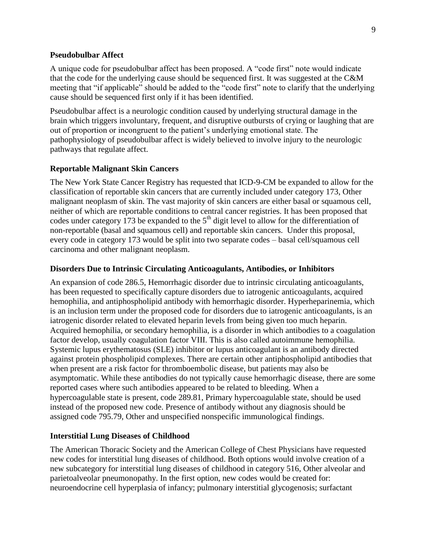#### **Pseudobulbar Affect**

A unique code for pseudobulbar affect has been proposed. A "code first" note would indicate that the code for the underlying cause should be sequenced first. It was suggested at the C&M meeting that "if applicable" should be added to the "code first" note to clarify that the underlying cause should be sequenced first only if it has been identified.

Pseudobulbar affect is a neurologic condition caused by underlying structural damage in the brain which triggers involuntary, frequent, and disruptive outbursts of crying or laughing that are out of proportion or incongruent to the patient's underlying emotional state. The pathophysiology of pseudobulbar affect is widely believed to involve injury to the neurologic pathways that regulate affect.

#### **Reportable Malignant Skin Cancers**

The New York State Cancer Registry has requested that ICD-9-CM be expanded to allow for the classification of reportable skin cancers that are currently included under category 173, Other malignant neoplasm of skin. The vast majority of skin cancers are either basal or squamous cell, neither of which are reportable conditions to central cancer registries. It has been proposed that codes under category 173 be expanded to the  $5<sup>th</sup>$  digit level to allow for the differentiation of non-reportable (basal and squamous cell) and reportable skin cancers. Under this proposal, every code in category 173 would be split into two separate codes – basal cell/squamous cell carcinoma and other malignant neoplasm.

#### **Disorders Due to Intrinsic Circulating Anticoagulants, Antibodies, or Inhibitors**

An expansion of code 286.5, Hemorrhagic disorder due to intrinsic circulating anticoagulants, has been requested to specifically capture disorders due to iatrogenic anticoagulants, acquired hemophilia, and antiphospholipid antibody with hemorrhagic disorder. Hyperheparinemia, which is an inclusion term under the proposed code for disorders due to iatrogenic anticoagulants, is an iatrogenic disorder related to elevated heparin levels from being given too much heparin. Acquired hemophilia, or secondary hemophilia, is a disorder in which antibodies to a coagulation factor develop, usually coagulation factor VIII. This is also called autoimmune hemophilia. Systemic lupus erythematosus (SLE) inhibitor or lupus anticoagulant is an antibody directed against protein phospholipid complexes. There are certain other antiphospholipid antibodies that when present are a risk factor for thromboembolic disease, but patients may also be asymptomatic. While these antibodies do not typically cause hemorrhagic disease, there are some reported cases where such antibodies appeared to be related to bleeding. When a hypercoagulable state is present, code 289.81, Primary hypercoagulable state, should be used instead of the proposed new code. Presence of antibody without any diagnosis should be assigned code 795.79, Other and unspecified nonspecific immunological findings.

#### **Interstitial Lung Diseases of Childhood**

The American Thoracic Society and the American College of Chest Physicians have requested new codes for interstitial lung diseases of childhood. Both options would involve creation of a new subcategory for interstitial lung diseases of childhood in category 516, Other alveolar and parietoalveolar pneumonopathy. In the first option, new codes would be created for: neuroendocrine cell hyperplasia of infancy; pulmonary interstitial glycogenosis; surfactant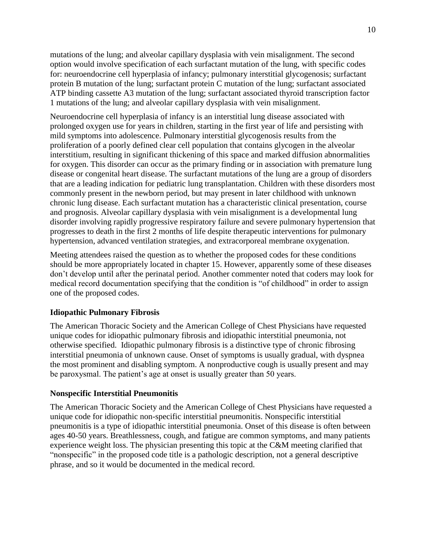mutations of the lung; and alveolar capillary dysplasia with vein misalignment. The second option would involve specification of each surfactant mutation of the lung, with specific codes for: neuroendocrine cell hyperplasia of infancy; pulmonary interstitial glycogenosis; surfactant protein B mutation of the lung; surfactant protein C mutation of the lung; surfactant associated ATP binding cassette A3 mutation of the lung; surfactant associated thyroid transcription factor 1 mutations of the lung; and alveolar capillary dysplasia with vein misalignment.

Neuroendocrine cell hyperplasia of infancy is an interstitial lung disease associated with prolonged oxygen use for years in children, starting in the first year of life and persisting with mild symptoms into adolescence. Pulmonary interstitial glycogenosis results from the proliferation of a poorly defined clear cell population that contains glycogen in the alveolar interstitium, resulting in significant thickening of this space and marked diffusion abnormalities for oxygen. This disorder can occur as the primary finding or in association with premature lung disease or congenital heart disease. The surfactant mutations of the lung are a group of disorders that are a leading indication for pediatric lung transplantation. Children with these disorders most commonly present in the newborn period, but may present in later childhood with unknown chronic lung disease. Each surfactant mutation has a characteristic clinical presentation, course and prognosis. Alveolar capillary dysplasia with vein misalignment is a developmental lung disorder involving rapidly progressive respiratory failure and severe pulmonary hypertension that progresses to death in the first 2 months of life despite therapeutic interventions for pulmonary hypertension, advanced ventilation strategies, and extracorporeal membrane oxygenation.

Meeting attendees raised the question as to whether the proposed codes for these conditions should be more appropriately located in chapter 15. However, apparently some of these diseases don't develop until after the perinatal period. Another commenter noted that coders may look for medical record documentation specifying that the condition is "of childhood" in order to assign one of the proposed codes.

### **Idiopathic Pulmonary Fibrosis**

The American Thoracic Society and the American College of Chest Physicians have requested unique codes for idiopathic pulmonary fibrosis and idiopathic interstitial pneumonia, not otherwise specified. Idiopathic pulmonary fibrosis is a distinctive type of chronic fibrosing interstitial pneumonia of unknown cause. Onset of symptoms is usually gradual, with dyspnea the most prominent and disabling symptom. A nonproductive cough is usually present and may be paroxysmal. The patient's age at onset is usually greater than 50 years.

### **Nonspecific Interstitial Pneumonitis**

The American Thoracic Society and the American College of Chest Physicians have requested a unique code for idiopathic non-specific interstitial pneumonitis. Nonspecific interstitial pneumonitis is a type of idiopathic interstitial pneumonia. Onset of this disease is often between ages 40-50 years. Breathlessness, cough, and fatigue are common symptoms, and many patients experience weight loss. The physician presenting this topic at the C&M meeting clarified that "nonspecific" in the proposed code title is a pathologic description, not a general descriptive phrase, and so it would be documented in the medical record.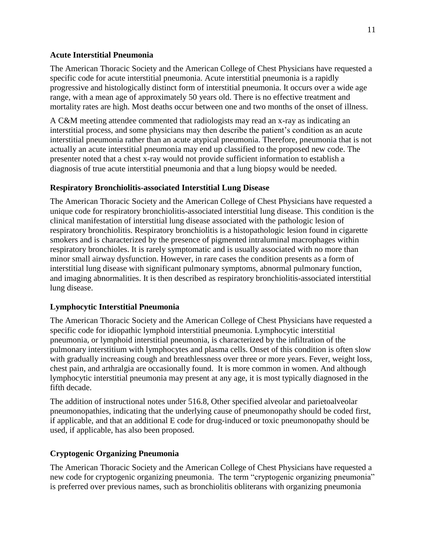#### **Acute Interstitial Pneumonia**

The American Thoracic Society and the American College of Chest Physicians have requested a specific code for acute interstitial pneumonia. Acute interstitial pneumonia is a rapidly progressive and histologically distinct form of interstitial pneumonia. It occurs over a wide age range, with a mean age of approximately 50 years old. There is no effective treatment and mortality rates are high. Most deaths occur between one and two months of the onset of illness.

A C&M meeting attendee commented that radiologists may read an x-ray as indicating an interstitial process, and some physicians may then describe the patient's condition as an acute interstitial pneumonia rather than an acute atypical pneumonia. Therefore, pneumonia that is not actually an acute interstitial pneumonia may end up classified to the proposed new code. The presenter noted that a chest x-ray would not provide sufficient information to establish a diagnosis of true acute interstitial pneumonia and that a lung biopsy would be needed.

#### **Respiratory Bronchiolitis-associated Interstitial Lung Disease**

The American Thoracic Society and the American College of Chest Physicians have requested a unique code for respiratory bronchiolitis-associated interstitial lung disease. This condition is the clinical manifestation of interstitial lung disease associated with the pathologic lesion of respiratory bronchiolitis. Respiratory bronchiolitis is a histopathologic lesion found in cigarette smokers and is characterized by the presence of pigmented intraluminal macrophages within respiratory bronchioles. It is rarely symptomatic and is usually associated with no more than minor small airway dysfunction. However, in rare cases the condition presents as a form of interstitial lung disease with significant pulmonary symptoms, abnormal pulmonary function, and imaging abnormalities. It is then described as respiratory bronchiolitis-associated interstitial lung disease.

#### **Lymphocytic Interstitial Pneumonia**

The American Thoracic Society and the American College of Chest Physicians have requested a specific code for idiopathic lymphoid interstitial pneumonia. Lymphocytic interstitial pneumonia, or lymphoid interstitial pneumonia, is characterized by the infiltration of the pulmonary interstitium with lymphocytes and plasma cells. Onset of this condition is often slow with gradually increasing cough and breathlessness over three or more years. Fever, weight loss, chest pain, and arthralgia are occasionally found. It is more common in women. And although lymphocytic interstitial pneumonia may present at any age, it is most typically diagnosed in the fifth decade.

The addition of instructional notes under 516.8, Other specified alveolar and parietoalveolar pneumonopathies, indicating that the underlying cause of pneumonopathy should be coded first, if applicable, and that an additional E code for drug-induced or toxic pneumonopathy should be used, if applicable, has also been proposed.

#### **Cryptogenic Organizing Pneumonia**

The American Thoracic Society and the American College of Chest Physicians have requested a new code for cryptogenic organizing pneumonia. The term "cryptogenic organizing pneumonia" is preferred over previous names, such as bronchiolitis obliterans with organizing pneumonia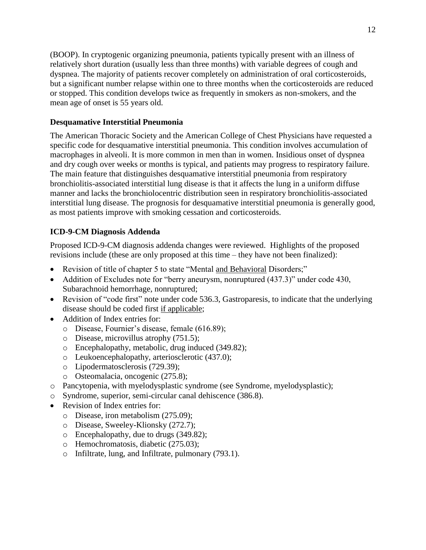(BOOP). In cryptogenic organizing pneumonia, patients typically present with an illness of relatively short duration (usually less than three months) with variable degrees of cough and dyspnea. The majority of patients recover completely on administration of oral corticosteroids, but a significant number relapse within one to three months when the corticosteroids are reduced or stopped. This condition develops twice as frequently in smokers as non-smokers, and the mean age of onset is 55 years old.

### **Desquamative Interstitial Pneumonia**

The American Thoracic Society and the American College of Chest Physicians have requested a specific code for desquamative interstitial pneumonia. This condition involves accumulation of macrophages in alveoli. It is more common in men than in women. Insidious onset of dyspnea and dry cough over weeks or months is typical, and patients may progress to respiratory failure. The main feature that distinguishes desquamative interstitial pneumonia from respiratory bronchiolitis-associated interstitial lung disease is that it affects the lung in a uniform diffuse manner and lacks the bronchiolocentric distribution seen in respiratory bronchiolitis-associated interstitial lung disease. The prognosis for desquamative interstitial pneumonia is generally good, as most patients improve with smoking cessation and corticosteroids.

### **ICD-9-CM Diagnosis Addenda**

Proposed ICD-9-CM diagnosis addenda changes were reviewed. Highlights of the proposed revisions include (these are only proposed at this time – they have not been finalized):

- Revision of title of chapter 5 to state "Mental and Behavioral Disorders;"
- Addition of Excludes note for "berry aneurysm, nonruptured (437.3)" under code 430, Subarachnoid hemorrhage, nonruptured;
- Revision of "code first" note under code 536.3, Gastroparesis, to indicate that the underlying disease should be coded first if applicable;
- Addition of Index entries for:
	- o Disease, Fournier's disease, female (616.89);
	- o Disease, microvillus atrophy (751.5);
	- o Encephalopathy, metabolic, drug induced (349.82);
	- o Leukoencephalopathy, arteriosclerotic (437.0);
	- o Lipodermatosclerosis (729.39);
	- o Osteomalacia, oncogenic (275.8);
- o Pancytopenia, with myelodysplastic syndrome (see Syndrome, myelodysplastic);
- o Syndrome, superior, semi-circular canal dehiscence (386.8).
- Revision of Index entries for:
	- o Disease, iron metabolism (275.09);
	- o Disease, Sweeley-Klionsky (272.7);
	- o Encephalopathy, due to drugs (349.82);
	- o Hemochromatosis, diabetic (275.03);
	- o Infiltrate, lung, and Infiltrate, pulmonary (793.1).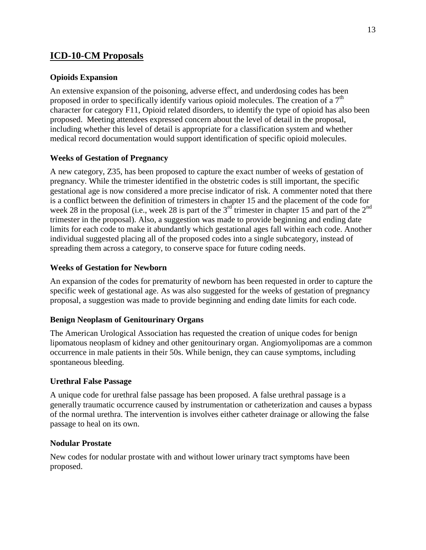## **ICD-10-CM Proposals**

### **Opioids Expansion**

An extensive expansion of the poisoning, adverse effect, and underdosing codes has been proposed in order to specifically identify various opioid molecules. The creation of a  $7<sup>th</sup>$ character for category F11, Opioid related disorders, to identify the type of opioid has also been proposed. Meeting attendees expressed concern about the level of detail in the proposal, including whether this level of detail is appropriate for a classification system and whether medical record documentation would support identification of specific opioid molecules.

### **Weeks of Gestation of Pregnancy**

A new category, Z35, has been proposed to capture the exact number of weeks of gestation of pregnancy. While the trimester identified in the obstetric codes is still important, the specific gestational age is now considered a more precise indicator of risk. A commenter noted that there is a conflict between the definition of trimesters in chapter 15 and the placement of the code for week 28 in the proposal (i.e., week 28 is part of the  $3<sup>rd</sup>$  trimester in chapter 15 and part of the  $2<sup>nd</sup>$ trimester in the proposal). Also, a suggestion was made to provide beginning and ending date limits for each code to make it abundantly which gestational ages fall within each code. Another individual suggested placing all of the proposed codes into a single subcategory, instead of spreading them across a category, to conserve space for future coding needs.

### **Weeks of Gestation for Newborn**

An expansion of the codes for prematurity of newborn has been requested in order to capture the specific week of gestational age. As was also suggested for the weeks of gestation of pregnancy proposal, a suggestion was made to provide beginning and ending date limits for each code.

#### **Benign Neoplasm of Genitourinary Organs**

The American Urological Association has requested the creation of unique codes for benign lipomatous neoplasm of kidney and other genitourinary organ. Angiomyolipomas are a common occurrence in male patients in their 50s. While benign, they can cause symptoms, including spontaneous bleeding.

#### **Urethral False Passage**

A unique code for urethral false passage has been proposed. A false urethral passage is a generally traumatic occurrence caused by instrumentation or catheterization and causes a bypass of the normal urethra. The intervention is involves either catheter drainage or allowing the false passage to heal on its own.

#### **Nodular Prostate**

New codes for nodular prostate with and without lower urinary tract symptoms have been proposed.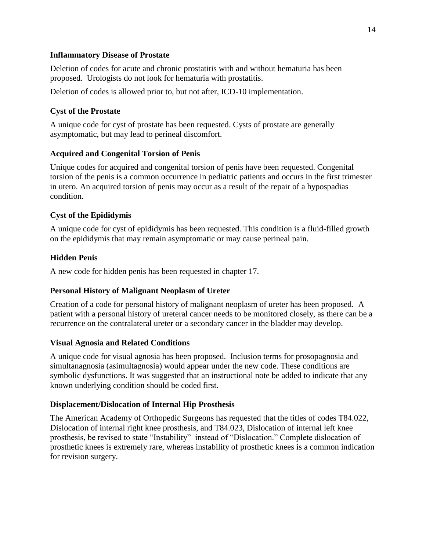#### **Inflammatory Disease of Prostate**

Deletion of codes for acute and chronic prostatitis with and without hematuria has been proposed. Urologists do not look for hematuria with prostatitis.

Deletion of codes is allowed prior to, but not after, ICD-10 implementation.

### **Cyst of the Prostate**

A unique code for cyst of prostate has been requested. Cysts of prostate are generally asymptomatic, but may lead to perineal discomfort.

### **Acquired and Congenital Torsion of Penis**

Unique codes for acquired and congenital torsion of penis have been requested. Congenital torsion of the penis is a common occurrence in pediatric patients and occurs in the first trimester in utero. An acquired torsion of penis may occur as a result of the repair of a hypospadias condition.

### **Cyst of the Epididymis**

A unique code for cyst of epididymis has been requested. This condition is a fluid-filled growth on the epididymis that may remain asymptomatic or may cause perineal pain.

### **Hidden Penis**

A new code for hidden penis has been requested in chapter 17.

### **Personal History of Malignant Neoplasm of Ureter**

Creation of a code for personal history of malignant neoplasm of ureter has been proposed. A patient with a personal history of ureteral cancer needs to be monitored closely, as there can be a recurrence on the contralateral ureter or a secondary cancer in the bladder may develop.

### **Visual Agnosia and Related Conditions**

A unique code for visual agnosia has been proposed. Inclusion terms for prosopagnosia and simultanagnosia (asimultagnosia) would appear under the new code. These conditions are symbolic dysfunctions. It was suggested that an instructional note be added to indicate that any known underlying condition should be coded first.

### **Displacement/Dislocation of Internal Hip Prosthesis**

The American Academy of Orthopedic Surgeons has requested that the titles of codes T84.022, Dislocation of internal right knee prosthesis, and T84.023, Dislocation of internal left knee prosthesis, be revised to state "Instability" instead of "Dislocation." Complete dislocation of prosthetic knees is extremely rare, whereas instability of prosthetic knees is a common indication for revision surgery.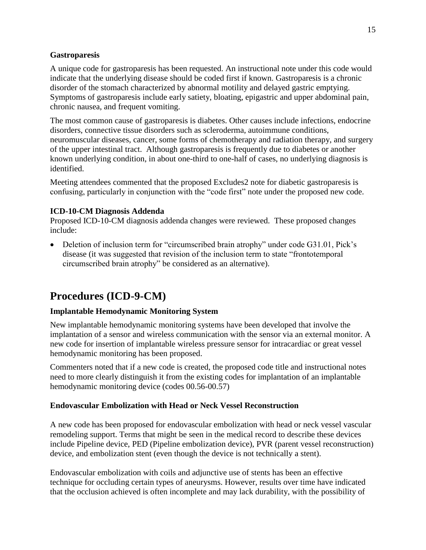### **Gastroparesis**

A unique code for gastroparesis has been requested. An instructional note under this code would indicate that the underlying disease should be coded first if known. Gastroparesis is a chronic disorder of the stomach characterized by abnormal motility and delayed gastric emptying. Symptoms of gastroparesis include early satiety, bloating, epigastric and upper abdominal pain, chronic nausea, and frequent vomiting.

The most common cause of gastroparesis is diabetes. Other causes include infections, endocrine disorders, connective tissue disorders such as scleroderma, autoimmune conditions, neuromuscular diseases, cancer, some forms of chemotherapy and radiation therapy, and surgery of the upper intestinal tract. Although gastroparesis is frequently due to diabetes or another known underlying condition, in about one-third to one-half of cases, no underlying diagnosis is identified.

Meeting attendees commented that the proposed Excludes2 note for diabetic gastroparesis is confusing, particularly in conjunction with the "code first" note under the proposed new code.

### **ICD-10-CM Diagnosis Addenda**

Proposed ICD-10-CM diagnosis addenda changes were reviewed. These proposed changes include:

• Deletion of inclusion term for "circumscribed brain atrophy" under code G31.01, Pick's disease (it was suggested that revision of the inclusion term to state "frontotemporal circumscribed brain atrophy" be considered as an alternative).

# **Procedures (ICD-9-CM)**

### **Implantable Hemodynamic Monitoring System**

New implantable hemodynamic monitoring systems have been developed that involve the implantation of a sensor and wireless communication with the sensor via an external monitor. A new code for insertion of implantable wireless pressure sensor for intracardiac or great vessel hemodynamic monitoring has been proposed.

Commenters noted that if a new code is created, the proposed code title and instructional notes need to more clearly distinguish it from the existing codes for implantation of an implantable hemodynamic monitoring device (codes 00.56-00.57)

#### **Endovascular Embolization with Head or Neck Vessel Reconstruction**

A new code has been proposed for endovascular embolization with head or neck vessel vascular remodeling support. Terms that might be seen in the medical record to describe these devices include Pipeline device, PED (Pipeline embolization device), PVR (parent vessel reconstruction) device, and embolization stent (even though the device is not technically a stent).

Endovascular embolization with coils and adjunctive use of stents has been an effective technique for occluding certain types of aneurysms. However, results over time have indicated that the occlusion achieved is often incomplete and may lack durability, with the possibility of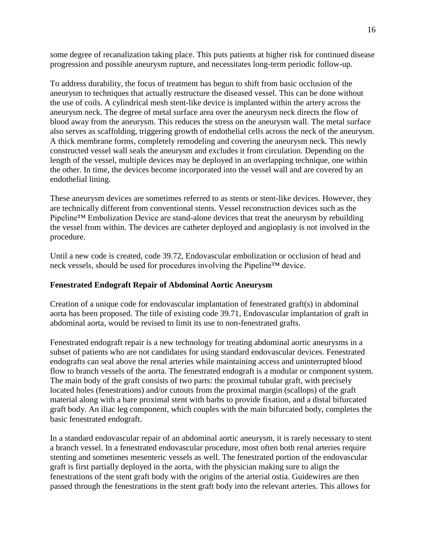some degree of recanalization taking place. This puts patients at higher risk for continued disease progression and possible aneurysm rupture, and necessitates long-term periodic follow-up.

To address durability, the focus of treatment has begun to shift from basic occlusion of the aneurysm to techniques that actually restructure the diseased vessel. This can be done without the use of coils. A cylindrical mesh stent-like device is implanted within the artery across the aneurysm neck. The degree of metal surface area over the aneurysm neck directs the flow of blood away from the aneurysm. This reduces the stress on the aneurysm wall. The metal surface also serves as scaffolding, triggering growth of endothelial cells across the neck of the aneurysm. A thick membrane forms, completely remodeling and covering the aneurysm neck. This newly constructed vessel wall seals the aneurysm and excludes it from circulation. Depending on the length of the vessel, multiple devices may be deployed in an overlapping technique, one within the other. In time, the devices become incorporated into the vessel wall and are covered by an endothelial lining.

These aneurysm devices are sometimes referred to as stents or stent-like devices. However, they are technically different from conventional stents. Vessel reconstruction devices such as the Pipeline™ Embolization Device are stand-alone devices that treat the aneurysm by rebuilding the vessel from within. The devices are catheter deployed and angioplasty is not involved in the procedure.

Until a new code is created, code 39.72, Endovascular embolization or occlusion of head and neck vessels, should be used for procedures involving the Pipeline™ device.

#### **Fenestrated Endograft Repair of Abdominal Aortic Aneurysm**

Creation of a unique code for endovascular implantation of fenestrated graft(s) in abdominal aorta has been proposed. The title of existing code 39.71, Endovascular implantation of graft in abdominal aorta, would be revised to limit its use to non-fenestrated grafts.

Fenestrated endograft repair is a new technology for treating abdominal aortic aneurysms in a subset of patients who are not candidates for using standard endovascular devices. Fenestrated endografts can seal above the renal arteries while maintaining access and uninterrupted blood flow to branch vessels of the aorta. The fenestrated endograft is a modular or component system. The main body of the graft consists of two parts: the proximal tubular graft, with precisely located holes (fenestrations) and/or cutouts from the proximal margin (scallops) of the graft material along with a bare proximal stent with barbs to provide fixation, and a distal bifurcated graft body. An iliac leg component, which couples with the main bifurcated body, completes the basic fenestrated endograft.

In a standard endovascular repair of an abdominal aortic aneurysm, it is rarely necessary to stent a branch vessel. In a fenestrated endovascular procedure, most often both renal arteries require stenting and sometimes mesenteric vessels as well. The fenestrated portion of the endovascular graft is first partially deployed in the aorta, with the physician making sure to align the fenestrations of the stent graft body with the origins of the arterial ostia. Guidewires are then passed through the fenestrations in the stent graft body into the relevant arteries. This allows for